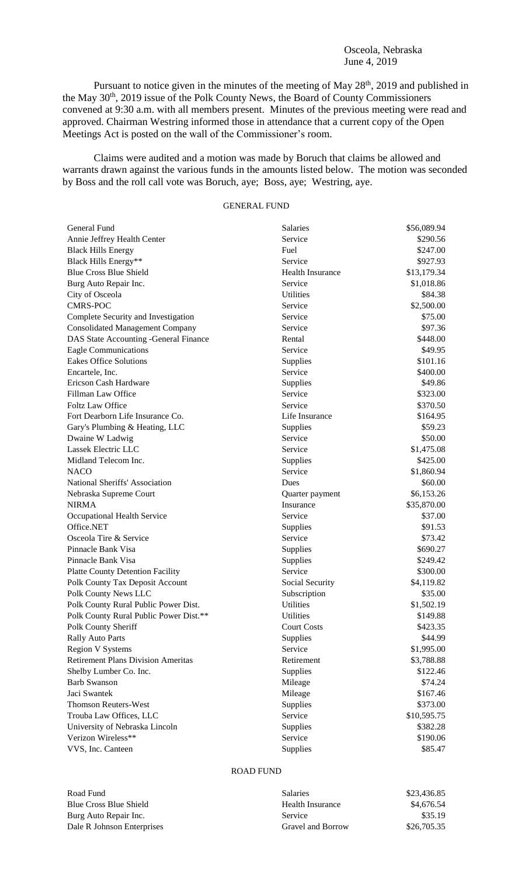### Osceola, Nebraska June 4, 2019

Pursuant to notice given in the minutes of the meeting of May 28<sup>th</sup>, 2019 and published in the May 30<sup>th</sup>, 2019 issue of the Polk County News, the Board of County Commissioners convened at 9:30 a.m. with all members present. Minutes of the previous meeting were read and approved. Chairman Westring informed those in attendance that a current copy of the Open Meetings Act is posted on the wall of the Commissioner's room.

Claims were audited and a motion was made by Boruch that claims be allowed and warrants drawn against the various funds in the amounts listed below. The motion was seconded by Boss and the roll call vote was Boruch, aye; Boss, aye; Westring, aye.

# GENERAL FUND

| General Fund                              | <b>Salaries</b>         | \$56,089.94 |
|-------------------------------------------|-------------------------|-------------|
| Annie Jeffrey Health Center               | Service                 | \$290.56    |
| <b>Black Hills Energy</b>                 | Fuel                    | \$247.00    |
| Black Hills Energy**                      | Service                 | \$927.93    |
| <b>Blue Cross Blue Shield</b>             | <b>Health Insurance</b> | \$13,179.34 |
| Burg Auto Repair Inc.                     | Service                 | \$1,018.86  |
| City of Osceola                           | <b>Utilities</b>        | \$84.38     |
| <b>CMRS-POC</b>                           | Service                 | \$2,500.00  |
| Complete Security and Investigation       | Service                 | \$75.00     |
| <b>Consolidated Management Company</b>    | Service                 | \$97.36     |
| DAS State Accounting -General Finance     | Rental                  | \$448.00    |
| <b>Eagle Communications</b>               | Service                 | \$49.95     |
| <b>Eakes Office Solutions</b>             | Supplies                | \$101.16    |
| Encartele, Inc.                           | Service                 | \$400.00    |
| Ericson Cash Hardware                     | Supplies                | \$49.86     |
| Fillman Law Office                        | Service                 | \$323.00    |
| <b>Foltz Law Office</b>                   | Service                 | \$370.50    |
| Fort Dearborn Life Insurance Co.          | Life Insurance          | \$164.95    |
| Gary's Plumbing & Heating, LLC            | Supplies                | \$59.23     |
| Dwaine W Ladwig                           | Service                 | \$50.00     |
| Lassek Electric LLC                       | Service                 | \$1,475.08  |
| Midland Telecom Inc.                      | Supplies                | \$425.00    |
| <b>NACO</b>                               | Service                 | \$1,860.94  |
| National Sheriffs' Association            | Dues                    | \$60.00     |
| Nebraska Supreme Court                    | Quarter payment         | \$6,153.26  |
| <b>NIRMA</b>                              | Insurance               | \$35,870.00 |
| Occupational Health Service               | Service                 | \$37.00     |
| Office.NET                                | Supplies                | \$91.53     |
| Osceola Tire & Service                    | Service                 | \$73.42     |
| Pinnacle Bank Visa                        | Supplies                | \$690.27    |
| Pinnacle Bank Visa                        | Supplies                | \$249.42    |
| <b>Platte County Detention Facility</b>   | Service                 | \$300.00    |
| Polk County Tax Deposit Account           | Social Security         | \$4,119.82  |
| Polk County News LLC                      | Subscription            | \$35.00     |
| Polk County Rural Public Power Dist.      | <b>Utilities</b>        | \$1,502.19  |
| Polk County Rural Public Power Dist.**    | Utilities               | \$149.88    |
| Polk County Sheriff                       | <b>Court Costs</b>      | \$423.35    |
| <b>Rally Auto Parts</b>                   | Supplies                | \$44.99     |
| <b>Region V Systems</b>                   | Service                 | \$1,995.00  |
| <b>Retirement Plans Division Ameritas</b> | Retirement              | \$3,788.88  |
| Shelby Lumber Co. Inc.                    | Supplies                | \$122.46    |
| <b>Barb Swanson</b>                       | Mileage                 | \$74.24     |
| Jaci Swantek                              | Mileage                 | \$167.46    |
| <b>Thomson Reuters-West</b>               | Supplies                | \$373.00    |
| Trouba Law Offices, LLC                   | Service                 | \$10,595.75 |
| University of Nebraska Lincoln            | Supplies                | \$382.28    |
| Verizon Wireless**                        | Service                 | \$190.06    |
| VVS, Inc. Canteen                         | Supplies                | \$85.47     |
|                                           |                         |             |

# ROAD FUND

| Road Fund                     |
|-------------------------------|
| <b>Blue Cross Blue Shield</b> |
| Burg Auto Repair Inc.         |
| Dale R Johnson Enterprise:    |

| Road Fund                  | <b>Salaries</b>   | \$23,436.85 |
|----------------------------|-------------------|-------------|
| Blue Cross Blue Shield     | Health Insurance  | \$4,676.54  |
| Burg Auto Repair Inc.      | Service           | \$35.19     |
| Dale R Johnson Enterprises | Gravel and Borrow | \$26,705.35 |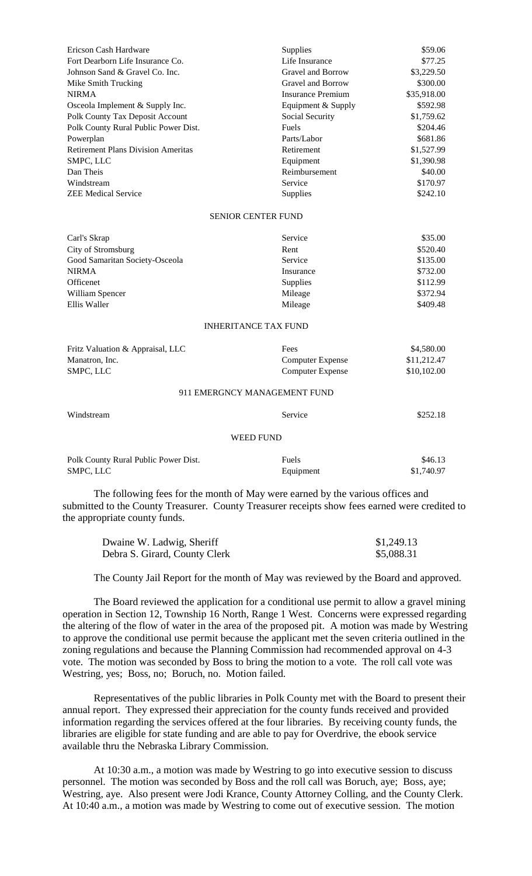| Ericson Cash Hardware                     | <b>Supplies</b>    | \$59.06     |
|-------------------------------------------|--------------------|-------------|
| Fort Dearborn Life Insurance Co.          | Life Insurance     | \$77.25     |
| Johnson Sand & Gravel Co. Inc.            | Gravel and Borrow  | \$3,229.50  |
| Mike Smith Trucking                       | Gravel and Borrow  | \$300.00    |
| <b>NIRMA</b>                              | Insurance Premium  | \$35,918.00 |
| Osceola Implement & Supply Inc.           | Equipment & Supply | \$592.98    |
| Polk County Tax Deposit Account           | Social Security    | \$1,759.62  |
| Polk County Rural Public Power Dist.      | <b>Fuels</b>       | \$204.46    |
| Powerplan                                 | Parts/Labor        | \$681.86    |
| <b>Retirement Plans Division Ameritas</b> | Retirement         | \$1,527.99  |
| SMPC, LLC                                 | Equipment          | \$1,390.98  |
| Dan Theis                                 | Reimbursement      | \$40.00     |
| Windstream                                | Service            | \$170.97    |
| <b>ZEE Medical Service</b>                | <b>Supplies</b>    | \$242.10    |

#### SENIOR CENTER FUND

| Carl's Skrap                   | Service         | \$35.00  |
|--------------------------------|-----------------|----------|
| City of Stromsburg             | Rent            | \$520.40 |
| Good Samaritan Society-Osceola | Service         | \$135.00 |
| <b>NIRMA</b>                   | Insurance       | \$732.00 |
| Officenet                      | <b>Supplies</b> | \$112.99 |
| William Spencer                | Mileage         | \$372.94 |
| Ellis Waller                   | Mileage         | \$409.48 |

#### INHERITANCE TAX FUND

| Fritz Valuation & Appraisal, LLC | Fees             | \$4,580.00  |
|----------------------------------|------------------|-------------|
| Manatron, Inc.                   | Computer Expense | \$11,212.47 |
| SMPC. LLC                        | Computer Expense | \$10,102.00 |

## 911 EMERGNCY MANAGEMENT FUND

| Windstream                           | Service   | \$252.18   |
|--------------------------------------|-----------|------------|
|                                      | WEED FUND |            |
| Polk County Rural Public Power Dist. | Fuels     | \$46.13    |
| SMPC, LLC                            | Equipment | \$1,740.97 |

The following fees for the month of May were earned by the various offices and submitted to the County Treasurer. County Treasurer receipts show fees earned were credited to the appropriate county funds.

| Dwaine W. Ladwig, Sheriff     | \$1,249.13 |
|-------------------------------|------------|
| Debra S. Girard, County Clerk | \$5,088.31 |

The County Jail Report for the month of May was reviewed by the Board and approved.

The Board reviewed the application for a conditional use permit to allow a gravel mining operation in Section 12, Township 16 North, Range 1 West. Concerns were expressed regarding the altering of the flow of water in the area of the proposed pit. A motion was made by Westring to approve the conditional use permit because the applicant met the seven criteria outlined in the zoning regulations and because the Planning Commission had recommended approval on 4-3 vote. The motion was seconded by Boss to bring the motion to a vote. The roll call vote was Westring, yes; Boss, no; Boruch, no. Motion failed.

Representatives of the public libraries in Polk County met with the Board to present their annual report. They expressed their appreciation for the county funds received and provided information regarding the services offered at the four libraries. By receiving county funds, the libraries are eligible for state funding and are able to pay for Overdrive, the ebook service available thru the Nebraska Library Commission.

At 10:30 a.m., a motion was made by Westring to go into executive session to discuss personnel. The motion was seconded by Boss and the roll call was Boruch, aye; Boss, aye; Westring, aye. Also present were Jodi Krance, County Attorney Colling, and the County Clerk. At 10:40 a.m., a motion was made by Westring to come out of executive session. The motion